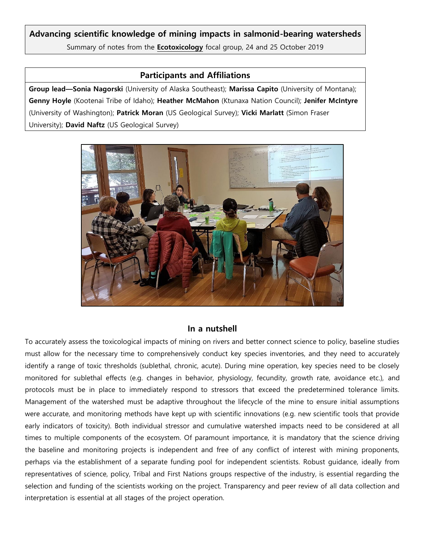## **Advancing scientific knowledge of mining impacts in salmonid-bearing watersheds**

Summary of notes from the **Ecotoxicology** focal group, 24 and 25 October 2019

## **Participants and Affiliations**

**Group lead—Sonia Nagorski** (University of Alaska Southeast); **Marissa Capito** (University of Montana); **Genny Hoyle** (Kootenai Tribe of Idaho); **Heather McMahon** (Ktunaxa Nation Council); **Jenifer McIntyre** (University of Washington); **Patrick Moran** (US Geological Survey); **Vicki Marlatt** (Simon Fraser University); **David Naftz** (US Geological Survey)



#### **In a nutshell**

To accurately assess the toxicological impacts of mining on rivers and better connect science to policy, baseline studies must allow for the necessary time to comprehensively conduct key species inventories, and they need to accurately identify a range of toxic thresholds (sublethal, chronic, acute). During mine operation, key species need to be closely monitored for sublethal effects (e.g. changes in behavior, physiology, fecundity, growth rate, avoidance etc.), and protocols must be in place to immediately respond to stressors that exceed the predetermined tolerance limits. Management of the watershed must be adaptive throughout the lifecycle of the mine to ensure initial assumptions were accurate, and monitoring methods have kept up with scientific innovations (e.g. new scientific tools that provide early indicators of toxicity). Both individual stressor and cumulative watershed impacts need to be considered at all times to multiple components of the ecosystem. Of paramount importance, it is mandatory that the science driving the baseline and monitoring projects is independent and free of any conflict of interest with mining proponents, perhaps via the establishment of a separate funding pool for independent scientists. Robust guidance, ideally from representatives of science, policy, Tribal and First Nations groups respective of the industry, is essential regarding the selection and funding of the scientists working on the project. Transparency and peer review of all data collection and interpretation is essential at all stages of the project operation.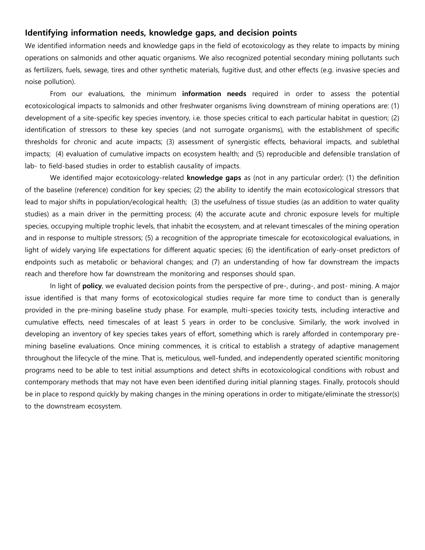### **Identifying information needs, knowledge gaps, and decision points**

We identified information needs and knowledge gaps in the field of ecotoxicology as they relate to impacts by mining operations on salmonids and other aquatic organisms. We also recognized potential secondary mining pollutants such as fertilizers, fuels, sewage, tires and other synthetic materials, fugitive dust, and other effects (e.g. invasive species and noise pollution).

From our evaluations, the minimum **information needs** required in order to assess the potential ecotoxicological impacts to salmonids and other freshwater organisms living downstream of mining operations are: (1) development of a site-specific key species inventory, i.e. those species critical to each particular habitat in question; (2) identification of stressors to these key species (and not surrogate organisms), with the establishment of specific thresholds for chronic and acute impacts; (3) assessment of synergistic effects, behavioral impacts, and sublethal impacts; (4) evaluation of cumulative impacts on ecosystem health; and (5) reproducible and defensible translation of lab- to field-based studies in order to establish causality of impacts.

We identified major ecotoxicology-related **knowledge gaps** as (not in any particular order): (1) the definition of the baseline (reference) condition for key species; (2) the ability to identify the main ecotoxicological stressors that lead to major shifts in population/ecological health; (3) the usefulness of tissue studies (as an addition to water quality studies) as a main driver in the permitting process; (4) the accurate acute and chronic exposure levels for multiple species, occupying multiple trophic levels, that inhabit the ecosystem, and at relevant timescales of the mining operation and in response to multiple stressors; (5) a recognition of the appropriate timescale for ecotoxicological evaluations, in light of widely varying life expectations for different aquatic species; (6) the identification of early-onset predictors of endpoints such as metabolic or behavioral changes; and (7) an understanding of how far downstream the impacts reach and therefore how far downstream the monitoring and responses should span.

In light of **policy**, we evaluated decision points from the perspective of pre-, during-, and post- mining. A major issue identified is that many forms of ecotoxicological studies require far more time to conduct than is generally provided in the pre-mining baseline study phase. For example, multi-species toxicity tests, including interactive and cumulative effects, need timescales of at least 5 years in order to be conclusive. Similarly, the work involved in developing an inventory of key species takes years of effort, something which is rarely afforded in contemporary premining baseline evaluations. Once mining commences, it is critical to establish a strategy of adaptive management throughout the lifecycle of the mine. That is, meticulous, well-funded, and independently operated scientific monitoring programs need to be able to test initial assumptions and detect shifts in ecotoxicological conditions with robust and contemporary methods that may not have even been identified during initial planning stages. Finally, protocols should be in place to respond quickly by making changes in the mining operations in order to mitigate/eliminate the stressor(s) to the downstream ecosystem.